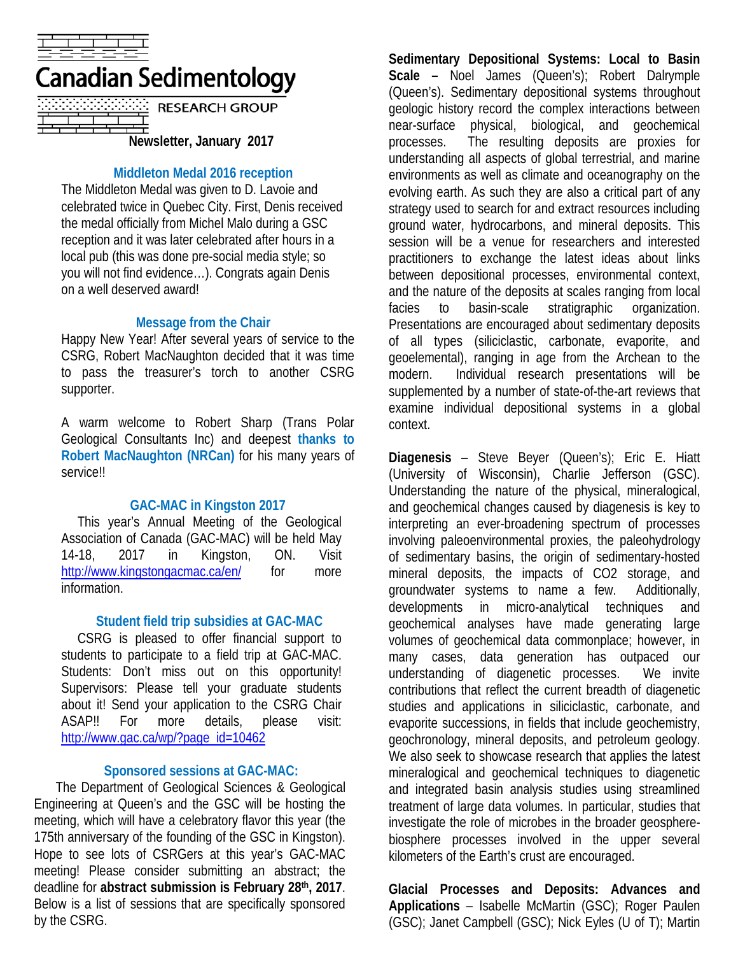

# Canadian Sedimentology

| <b>RESEARCH GROUP</b>   |
|-------------------------|
|                         |
| Nowelatter January 2017 |

**Newsletter, January 2017**

### **Middleton Medal 2016 reception**

The Middleton Medal was given to D. Lavoie and celebrated twice in Quebec City. First, Denis received the medal officially from Michel Malo during a GSC reception and it was later celebrated after hours in a local pub (this was done pre-social media style; so you will not find evidence…). Congrats again Denis on a well deserved award!

#### **Message from the Chair**

Happy New Year! After several years of service to the CSRG, Robert MacNaughton decided that it was time to pass the treasurer's torch to another CSRG supporter.

A warm welcome to Robert Sharp (Trans Polar Geological Consultants Inc) and deepest **thanks to Robert MacNaughton (NRCan)** for his many years of service!!

#### **GAC-MAC in Kingston 2017**

This year's Annual Meeting of the Geological Association of Canada (GAC-MAC) will be held May 14-18, 2017 in Kingston, ON. Visit <http://www.kingstongacmac.ca/en/> for more information.

#### **Student field trip subsidies at GAC-MAC**

CSRG is pleased to offer financial support to students to participate to a field trip at GAC-MAC. Students: Don't miss out on this opportunity! Supervisors: Please tell your graduate students about it! Send your application to the CSRG Chair ASAP!! For more details, please visit: [http://www.gac.ca/wp/?page\\_id=10462](http://www.gac.ca/wp/?page_id=10462)

## **Sponsored sessions at GAC-MAC:**

The Department of Geological Sciences & Geological Engineering at Queen's and the GSC will be hosting the meeting, which will have a celebratory flavor this year (the 175th anniversary of the founding of the GSC in Kingston). Hope to see lots of CSRGers at this year's GAC-MAC meeting! Please consider submitting an abstract; the deadline for **abstract submission is February 28th, 2017**. Below is a list of sessions that are specifically sponsored by the CSRG.

**Sedimentary Depositional Systems: Local to Basin Scale –** Noel James (Queen's); Robert Dalrymple (Queen's). Sedimentary depositional systems throughout geologic history record the complex interactions between near-surface physical, biological, and geochemical processes. The resulting deposits are proxies for understanding all aspects of global terrestrial, and marine environments as well as climate and oceanography on the evolving earth. As such they are also a critical part of any strategy used to search for and extract resources including ground water, hydrocarbons, and mineral deposits. This session will be a venue for researchers and interested practitioners to exchange the latest ideas about links between depositional processes, environmental context, and the nature of the deposits at scales ranging from local facies to basin-scale stratigraphic organization. Presentations are encouraged about sedimentary deposits of all types (siliciclastic, carbonate, evaporite, and geoelemental), ranging in age from the Archean to the modern. Individual research presentations will be supplemented by a number of state-of-the-art reviews that examine individual depositional systems in a global context.

**Diagenesis** – Steve Beyer (Queen's); Eric E. Hiatt (University of Wisconsin), Charlie Jefferson (GSC). Understanding the nature of the physical, mineralogical, and geochemical changes caused by diagenesis is key to interpreting an ever-broadening spectrum of processes involving paleoenvironmental proxies, the paleohydrology of sedimentary basins, the origin of sedimentary-hosted mineral deposits, the impacts of CO2 storage, and groundwater systems to name a few. Additionally, developments in micro-analytical techniques and geochemical analyses have made generating large volumes of geochemical data commonplace; however, in many cases, data generation has outpaced our understanding of diagenetic processes. We invite contributions that reflect the current breadth of diagenetic studies and applications in siliciclastic, carbonate, and evaporite successions, in fields that include geochemistry, geochronology, mineral deposits, and petroleum geology. We also seek to showcase research that applies the latest mineralogical and geochemical techniques to diagenetic and integrated basin analysis studies using streamlined treatment of large data volumes. In particular, studies that investigate the role of microbes in the broader geospherebiosphere processes involved in the upper several kilometers of the Earth's crust are encouraged.

**Glacial Processes and Deposits: Advances and Applications** – Isabelle McMartin (GSC); Roger Paulen (GSC); Janet Campbell (GSC); Nick Eyles (U of T); Martin